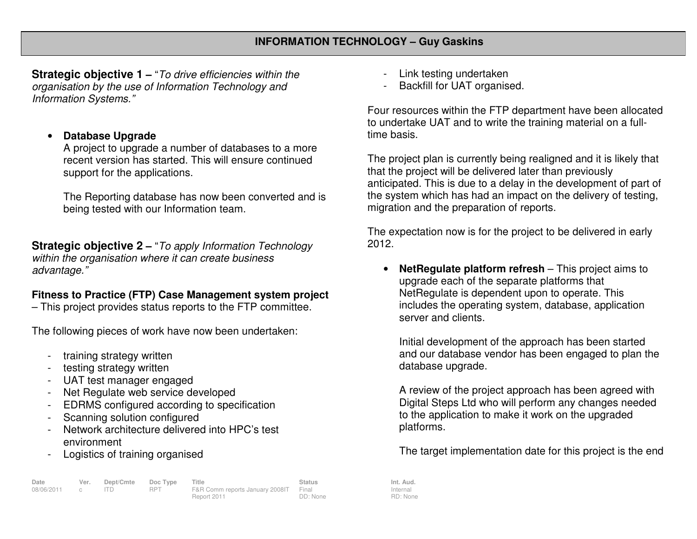**Strategic objective 1 –** "To drive efficiencies within the organisation by the use of Information Technology and Information Systems."

## •**Database Upgrade**

 A project to upgrade a number of databases to a more recent version has started. This will ensure continued support for the applications.

The Reporting database has now been converted and is being tested with our Information team.

**Strategic objective 2 –** "To apply Information Technology within the organisation where it can create business advantage."

## **Fitness to Practice (FTP) Case Management system project**

– This project provides status reports to the FTP committee.

The following pieces of work have now been undertaken:

- training strategy written
- testing strategy written
- UAT test manager engaged
- Net Regulate web service developed
- EDRMS configured according to specification
- Scanning solution configured
- Network architecture delivered into HPC's test environment
- Logistics of training organised

| Date         | Ver. | Dept/Cmte Doc Type |            | Title                                 | Status   | Int. Aud. |
|--------------|------|--------------------|------------|---------------------------------------|----------|-----------|
| 08/06/2011 c |      |                    | <b>RPT</b> | F&R Comm reports January 2008IT Final |          | Internal  |
|              |      |                    |            | Report 2011                           | DD: None | RD: Non   |

- Link testing undertaken
- Backfill for UAT organised.

Four resources within the FTP department have been allocated to undertake UAT and to write the training material on a fulltime basis.

The project plan is currently being realigned and it is likely that that the project will be delivered later than previously anticipated. This is due to a delay in the development of part of the system which has had an impact on the delivery of testing, migration and the preparation of reports.

The expectation now is for the project to be delivered in early 2012.

• **NetRegulate platform refresh** – This project aims to upgrade each of the separate platforms that NetRegulate is dependent upon to operate. This includes the operating system, database, application server and clients.

Initial development of the approach has been started and our database vendor has been engaged to plan the database upgrade.

A review of the project approach has been agreed with Digital Steps Ltd who will perform any changes needed to the application to make it work on the upgraded platforms.

The target implementation date for this project is the end

Internal RD: None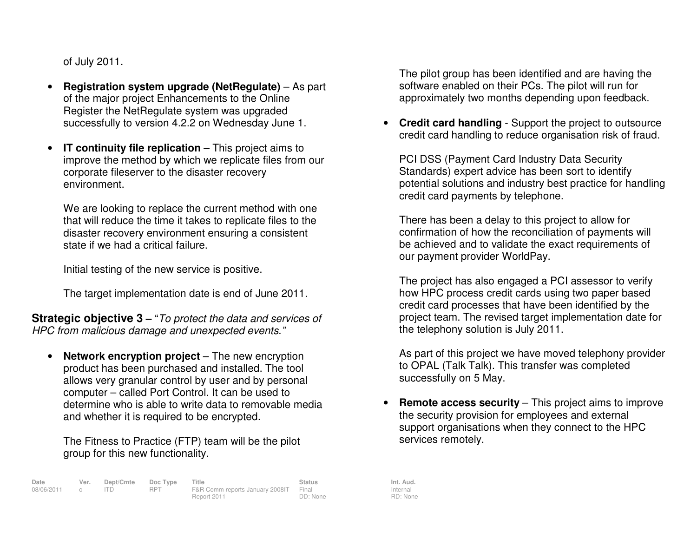of July 2011.

- • **Registration system upgrade (NetRegulate)** – As part of the major project Enhancements to the Online Register the NetRegulate system was upgraded successfully to version 4.2.2 on Wednesday June 1.
- •**IT continuity file replication** – This project aims to improve the method by which we replicate files from our corporate fileserver to the disaster recovery environment.

We are looking to replace the current method with one that will reduce the time it takes to replicate files to the disaster recovery environment ensuring a consistentstate if we had a critical failure.

Initial testing of the new service is positive.

The target implementation date is end of June 2011.

**Strategic objective 3 –** "To protect the data and services of HPC from malicious damage and unexpected events."

 $\bullet$  **Network encryption project** – The new encryption product has been purchased and installed. The tool allows very granular control by user and by personal computer – called Port Control. It can be used to determine who is able to write data to removable media and whether it is required to be encrypted.

The Fitness to Practice (FTP) team will be the pilot group for this new functionality.

**Date Ver. Dept/Cmte Doc Type Title Status Status Int. Aud.**<br>08/06/2011 c ITD RPT F&R Comm reports January 2008IT Final Internal Internal 08/06/2011 c ITD RPT F&R Comm reports January 2008IT Final Report 2011 DD: None

The pilot group has been identified and are having the software enabled on their PCs. The pilot will run for approximately two months depending upon feedback.

• **Credit card handling** - Support the project to outsource credit card handling to reduce organisation risk of fraud.

PCI DSS (Payment Card Industry Data Security Standards) expert advice has been sort to identify potential solutions and industry best practice for handling credit card payments by telephone.

There has been a delay to this project to allow for confirmation of how the reconciliation of payments will be achieved and to validate the exact requirements of our payment provider WorldPay.

The project has also engaged a PCI assessor to verify how HPC process credit cards using two paper based credit card processes that have been identified by the project team. The revised target implementation date for the telephony solution is July 2011.

As part of this project we have moved telephony provider to OPAL (Talk Talk). This transfer was completed successfully on 5 May.

• **Remote access security** – This project aims to improve the security provision for employees and external support organisations when they connect to the HPC services remotely.

Internal RD: None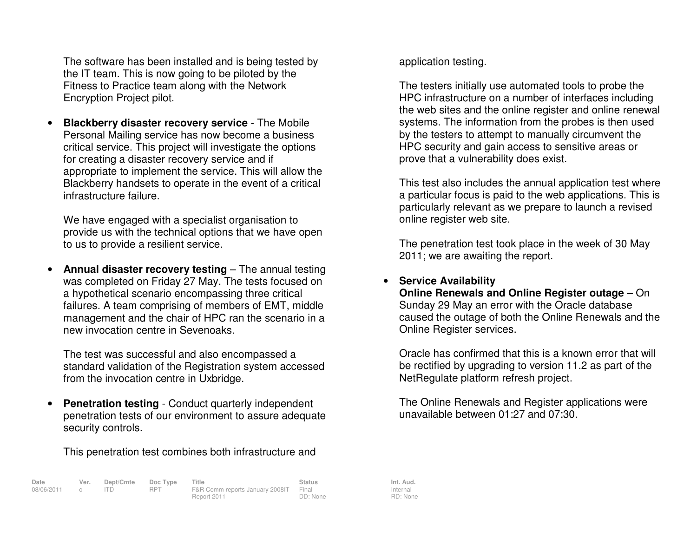The software has been installed and is being tested by the IT team. This is now going to be piloted by theFitness to Practice team along with the Network Encryption Project pilot.

• **Blackberry disaster recovery service** - The Mobile Personal Mailing service has now become a business critical service. This project will investigate the options for creating a disaster recovery service and if appropriate to implement the service. This will allow the Blackberry handsets to operate in the event of a critical infrastructure failure.

We have engaged with a specialist organisation to provide us with the technical options that we have open to us to provide a resilient service.

• **Annual disaster recovery testing** – The annual testing was completed on Friday 27 May. The tests focused on a hypothetical scenario encompassing three critical failures. A team comprising of members of EMT, middle management and the chair of HPC ran the scenario in a new invocation centre in Sevenoaks.

The test was successful and also encompassed a standard validation of the Registration system accessed from the invocation centre in Uxbridge.

• **Penetration testing** - Conduct quarterly independent penetration tests of our environment to assure adequate security controls.

This penetration test combines both infrastructure and

**Date Ver. Dept/Cmte Doc Type Title Status Status Int. Aud.**<br>08/06/2011 c ITD RPT F&R Comm reports January 2008 | Final Internal Internal 08/06/2011 c ITD RPT F&R Comm reports January 2008IT Final Report 2011 DD: None

application testing.

The testers initially use automated tools to probe the HPC infrastructure on a number of interfaces including the web sites and the online register and online renewal systems. The information from the probes is then used by the testers to attempt to manually circumvent the HPC security and gain access to sensitive areas or prove that a vulnerability does exist.

This test also includes the annual application test where a particular focus is paid to the web applications. This is particularly relevant as we prepare to launch a revised online register web site.

The penetration test took place in the week of 30 May 2011; we are awaiting the report.

## • **Service Availability**

**Online Renewals and Online Register outage – On** Sunday 29 May an error with the Oracle database caused the outage of both the Online Renewals and the Online Register services.

Oracle has confirmed that this is a known error that will be rectified by upgrading to version 11.2 as part of the NetRegulate platform refresh project.

The Online Renewals and Register applications were unavailable between 01:27 and 07:30.

Internal RD: None